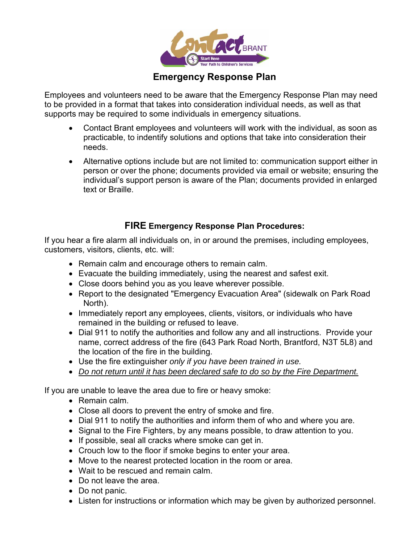

# **Emergency Response Plan**

Employees and volunteers need to be aware that the Emergency Response Plan may need to be provided in a format that takes into consideration individual needs, as well as that supports may be required to some individuals in emergency situations.

- Contact Brant employees and volunteers will work with the individual, as soon as practicable, to indentify solutions and options that take into consideration their needs.
- Alternative options include but are not limited to: communication support either in person or over the phone; documents provided via email or website; ensuring the individual's support person is aware of the Plan; documents provided in enlarged text or Braille.

#### **FIRE Emergency Response Plan Procedures:**

If you hear a fire alarm all individuals on, in or around the premises, including employees, customers, visitors, clients, etc. will:

- Remain calm and encourage others to remain calm.
- Evacuate the building immediately, using the nearest and safest exit.
- Close doors behind you as you leave wherever possible.
- Report to the designated "Emergency Evacuation Area" (sidewalk on Park Road North).
- Immediately report any employees, clients, visitors, or individuals who have remained in the building or refused to leave.
- Dial 911 to notify the authorities and follow any and all instructions. Provide your name, correct address of the fire (643 Park Road North, Brantford, N3T 5L8) and the location of the fire in the building.
- Use the fire extinguisher *only if you have been trained in use.*
- *Do not return until it has been declared safe to do so by the Fire Department.*

If you are unable to leave the area due to fire or heavy smoke:

- Remain calm.
- Close all doors to prevent the entry of smoke and fire.
- Dial 911 to notify the authorities and inform them of who and where you are.
- Signal to the Fire Fighters, by any means possible, to draw attention to you.
- If possible, seal all cracks where smoke can get in.
- Crouch low to the floor if smoke begins to enter your area.
- Move to the nearest protected location in the room or area.
- Wait to be rescued and remain calm.
- Do not leave the area.
- Do not panic.
- Listen for instructions or information which may be given by authorized personnel.